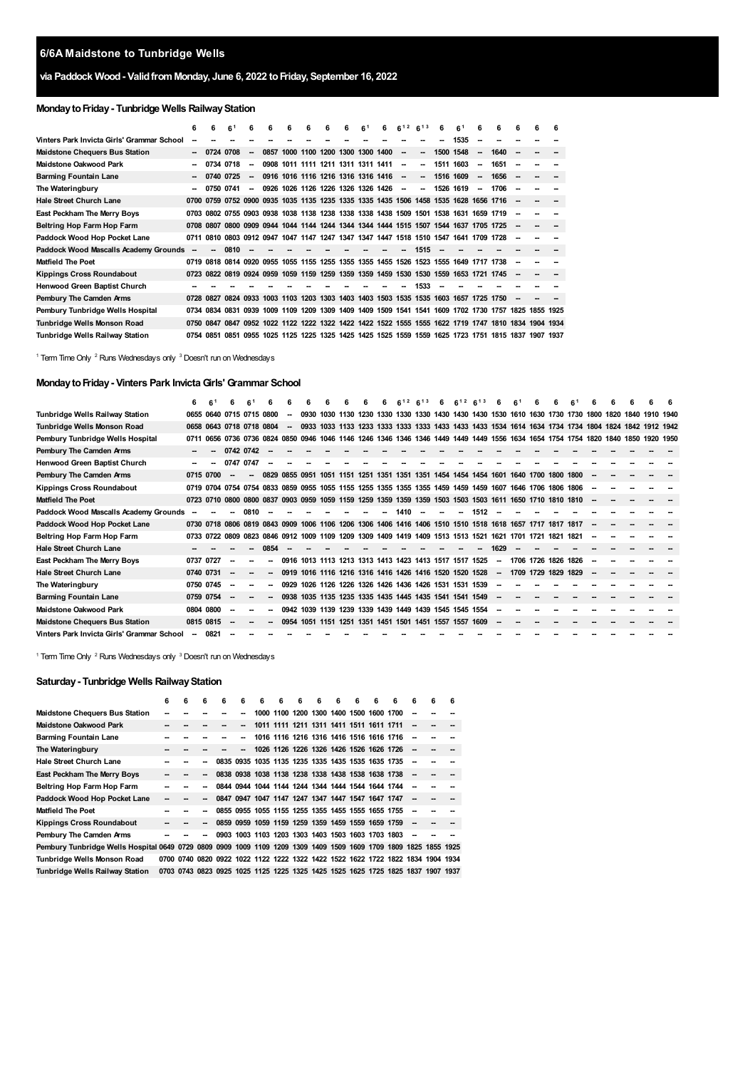## **via Paddock Wood- ValidfromMonday, June 6, 2022 toFriday, September 16, 2022**

## **MondaytoFriday- Tunbridge Wells RailwayStation**

|                                            | 6                        | 6              | 61        | 6                        | 6                                                                                    | 6 | 6 | 6 | 6 | 6 <sup>1</sup> | 6                                  | $6^{12}$                 | 6 <sup>13</sup> | 6         | 6 <sup>1</sup> | 6  | 6    | 6 | 6 | 6 |
|--------------------------------------------|--------------------------|----------------|-----------|--------------------------|--------------------------------------------------------------------------------------|---|---|---|---|----------------|------------------------------------|--------------------------|-----------------|-----------|----------------|----|------|---|---|---|
| Vinters Park Invicta Girls' Grammar School |                          |                |           |                          |                                                                                      |   |   |   |   |                |                                    |                          |                 |           | 1535           | -  |      |   |   |   |
| <b>Maidstone Chequers Bus Station</b>      |                          |                | 0724 0708 | -                        |                                                                                      |   |   |   |   |                | 0857 1000 1100 1200 1300 1300 1400 | $\sim$                   | --              | 1500 1548 |                | -  | 1640 |   |   |   |
| Maidstone Oakwood Park                     |                          |                | 0734 0718 | -                        |                                                                                      |   |   |   |   |                | 0908 1011 1111 1211 1311 1311 1411 | $\overline{\phantom{a}}$ | --              | 1511 1603 |                | -  | 1651 |   |   |   |
| <b>Barming Fountain Lane</b>               |                          |                | 0740 0725 | $\overline{\phantom{a}}$ |                                                                                      |   |   |   |   |                | 0916 1016 1116 1216 1316 1316 1416 | $\sim$                   | --              | 1516 1609 |                | -  | 1656 |   |   |   |
| The Wateringbury                           | $\overline{\phantom{a}}$ | 0750           | 0741      | --                       |                                                                                      |   |   |   |   |                | 0926 1026 1126 1226 1326 1326 1426 | $\overline{\phantom{a}}$ | --              | 1526      | 1619           | ۰. | 1706 |   |   |   |
| <b>Hale Street Church Lane</b>             |                          |                |           |                          | 0700 0759 0752 0900 0935 1035 1135 1235 1335 1335 1435 1506 1458 1535 1628 1656 1716 |   |   |   |   |                |                                    |                          |                 |           |                |    |      |   |   |   |
| East Peckham The Merry Boys                |                          |                |           |                          | 0703 0802 0755 0903 0938 1038 1138 1238 1338 1338 1438 1509 1501 1538 1631 1659 1719 |   |   |   |   |                |                                    |                          |                 |           |                |    |      |   |   |   |
| Beltring Hop Farm Hop Farm                 |                          |                |           |                          | 0708 0807 0800 0909 0944 1044 1144 1244 1344 1344 1444 1515 1507 1544 1637 1705 1725 |   |   |   |   |                |                                    |                          |                 |           |                |    |      |   |   |   |
| Paddock Wood Hop Pocket Lane               | 0711                     |                |           |                          | 0810 0803 0912 0947 1047 1147 1247 1347 1347 1447 1518 1510 1547 1641 1709 1728      |   |   |   |   |                |                                    |                          |                 |           |                |    |      |   |   |   |
| Paddock Wood Mascalls Academy Grounds      |                          | -              | 0810      |                          |                                                                                      |   |   |   |   |                |                                    |                          | 1515            |           |                |    |      |   |   |   |
| <b>Matfield The Poet</b>                   |                          |                |           |                          | 0719 0818 0814 0920 0955 1055 1155 1255 1355 1355 1455 1526 1523 1555 1649 1717 1738 |   |   |   |   |                |                                    |                          |                 |           |                |    |      |   |   |   |
| <b>Kippings Cross Roundabout</b>           |                          |                |           |                          | 0723 0822 0819 0924 0959 1059 1159 1259 1359 1359 1459 1530 1530 1559 1653 1721 1745 |   |   |   |   |                |                                    |                          |                 |           |                |    |      |   |   |   |
| Henwood Green Baptist Church               |                          |                |           |                          |                                                                                      |   |   |   |   |                |                                    |                          | 1533            |           |                |    |      |   |   |   |
| Pembury The Camden Arms                    |                          |                |           |                          | 0728 0827 0824 0933 1003 1103 1203 1303 1403 1403 1503 1535 1535 1603 1657 1725 1750 |   |   |   |   |                |                                    |                          |                 |           |                |    |      |   |   |   |
| Pembury Tunbridge Wells Hospital           |                          | 0734 0834 0831 |           |                          | 0939 1009 1109 1209 1309 1409 1409 1509 1541 1541 1609 1702 1730 1757 1825 1855 1925 |   |   |   |   |                |                                    |                          |                 |           |                |    |      |   |   |   |
| Tunbridge Wells Monson Road                |                          | 0750 0847 0847 |           |                          | 0952 1022 1122 1222 1322 1422 1422 1522 1555 1555 1622 1719 1747 1810 1834 1904 1934 |   |   |   |   |                |                                    |                          |                 |           |                |    |      |   |   |   |
| Tunbridge Wells Railway Station            |                          | 0754 0851      | 0851      |                          | 0955 1025 1125 1225 1325 1425 1425 1525 1559 1559 1625 1723 1751 1815 1837 1907 1937 |   |   |   |   |                |                                    |                          |                 |           |                |    |      |   |   |   |

<span id="page-0-2"></span><span id="page-0-1"></span><span id="page-0-0"></span><sup>1</sup> Term Time Only <sup>2</sup> Runs Wednesdays only <sup>3</sup> Doesn't run on Wednesdays

## **MondaytoFriday- Vinters Park InvictaGirls' Grammar School**

|                                            | 6                        | 61        |                          | 6 <sup>1</sup>           | 6                        |                          |                                                                                                          |      |      |  | 12<br>ĥ | $6^{13}$ | 6                        | $6^{12} 6^{13}$                                                            |      | 6                        | 6 <sup>1</sup>      |      |           |      |      |                |  |
|--------------------------------------------|--------------------------|-----------|--------------------------|--------------------------|--------------------------|--------------------------|----------------------------------------------------------------------------------------------------------|------|------|--|---------|----------|--------------------------|----------------------------------------------------------------------------|------|--------------------------|---------------------|------|-----------|------|------|----------------|--|
| Tunbridge Wells Railway Station            |                          |           | 0655 0640 0715 0715 0800 |                          |                          |                          | 0930                                                                                                     |      |      |  |         |          |                          | 1030 1130 1230 1330 1330 1330 1430 1430 1430 1530 1610 1630 1730 1730 1800 |      |                          |                     |      |           |      | 1820 | 1840 1910 1940 |  |
| Tunbridge Wells Monson Road                |                          |           | 0658 0643 0718 0718 0804 |                          |                          | $\overline{\phantom{a}}$ | 0933                                                                                                     |      |      |  |         |          |                          |                                                                            |      |                          |                     |      |           |      |      |                |  |
| Pembury Tunbridge Wells Hospital           | 0711                     |           | 0656 0736 0736 0824      |                          |                          | 0850                     | 0946                                                                                                     | 1046 | 1146 |  |         |          |                          | 1246 1346 1346 1346 1449 1449 1449 1556 1634 1654 1754 1754 1820           |      |                          |                     |      |           |      | 1840 | 1850 1920 1950 |  |
| Pembury The Camden Arms                    | $\sim$                   |           | 0742 0742                |                          |                          |                          |                                                                                                          |      |      |  |         |          |                          |                                                                            |      |                          |                     |      |           |      |      |                |  |
| Henwood Green Baptist Church               | -                        | --        | 0747 0747                |                          |                          |                          |                                                                                                          |      |      |  |         |          |                          |                                                                            |      |                          |                     |      |           |      |      |                |  |
| Pembury The Camden Arms                    |                          | 0715 0700 |                          | $\overline{\phantom{a}}$ | 0829                     |                          | 0855 0951 1051 1151 1251 1351 1351 1351 1454 1454 1454 1601 1640 1700 1800 1800                          |      |      |  |         |          |                          |                                                                            |      |                          |                     |      |           |      |      |                |  |
| <b>Kippings Cross Roundabout</b>           |                          |           |                          |                          |                          |                          | 0719 0704 0754 0754 0833 0859 0955 1055 1155 1255 1355 1355 1355 1459 1459 1459 1607 1646 1706 1806 1806 |      |      |  |         |          |                          |                                                                            |      |                          |                     |      |           |      |      |                |  |
| <b>Matfield The Poet</b>                   |                          |           |                          |                          |                          |                          | 0723 0710 0800 0800 0837 0903 0959 1059 1159 1259 1359 1359 1359 1503 1503 1503 1611 1650 1710 1810 1810 |      |      |  |         |          |                          |                                                                            |      |                          |                     |      |           |      |      |                |  |
| Paddock Wood Mascalls Academy Grounds      |                          |           |                          | 0810                     |                          |                          |                                                                                                          |      |      |  | 1410    | $\sim$   | $\overline{\phantom{a}}$ | $\sim$                                                                     | 1512 | $\overline{\phantom{a}}$ |                     |      |           |      |      |                |  |
| Paddock Wood Hop Pocket Lane               |                          |           |                          |                          |                          |                          | 0730 0718 0806 0819 0843 0909 1006 1106 1206 1306 1406 1416 1406 1510 1510 1518 1618 1657                |      |      |  |         |          |                          |                                                                            |      |                          |                     | 1717 | 1817      | 1817 |      |                |  |
| Beltring Hop Farm Hop Farm                 |                          |           |                          |                          |                          |                          | 0733 0722 0809 0823 0846 0912 1009 1109 1209 1309 1409 1419 1409 1513 1513 1521 1621 1701                |      |      |  |         |          |                          |                                                                            |      |                          |                     | 1721 | 1821      | 1821 |      |                |  |
| <b>Hale Street Church Lane</b>             |                          |           |                          |                          | 0854                     |                          |                                                                                                          |      |      |  |         |          |                          |                                                                            | -    | 1629                     |                     |      |           |      |      |                |  |
| East Peckham The Merry Boys                | 0737 0727                |           |                          |                          |                          |                          | 0916 1013 1113 1213 1313 1413 1423 1413 1517 1517 1525                                                   |      |      |  |         |          |                          |                                                                            |      | --                       | 1706 1726 1826 1826 |      |           |      |      |                |  |
| <b>Hale Street Church Lane</b>             | 0740 0731                |           |                          |                          | $\overline{\phantom{a}}$ |                          | 0919 1016 1116 1216 1316 1416 1426 1416 1520 1520 1528                                                   |      |      |  |         |          |                          |                                                                            |      | $\sim$                   | 1709 1729           |      | 1829 1829 |      |      |                |  |
| The Wateringbury                           |                          | 0750 0745 |                          |                          |                          |                          | 0929 1026 1126 1226 1326 1426 1436 1426 1531 1531 1539                                                   |      |      |  |         |          |                          |                                                                            |      |                          |                     |      |           |      |      |                |  |
| <b>Barming Fountain Lane</b>               |                          | 0759 0754 |                          |                          |                          |                          | 0938 1035 1135 1235 1335 1435 1445 1435 1541 1541 1549                                                   |      |      |  |         |          |                          |                                                                            |      |                          |                     |      |           |      |      |                |  |
| <b>Maidstone Oakwood Park</b>              |                          | 0804 0800 |                          |                          |                          |                          | 0942 1039 1139 1239 1339 1439 1449 1439 1545 1545 1554                                                   |      |      |  |         |          |                          |                                                                            |      |                          |                     |      |           |      |      |                |  |
| <b>Maidstone Chequers Bus Station</b>      |                          | 0815 0815 |                          |                          |                          | 0954                     | 1051 1151 1251 1351 1451 1501 1451 1557 1557                                                             |      |      |  |         |          |                          |                                                                            | 1609 |                          |                     |      |           |      |      |                |  |
| Vinters Park Invicta Girls' Grammar School | $\overline{\phantom{a}}$ | 0821      |                          |                          |                          |                          |                                                                                                          |      |      |  |         |          |                          |                                                                            |      |                          |                     |      |           |      |      |                |  |

<sup>1</sup> Term Time Only  $^2$  Runs Wednesdays only  $^3$  Doesn't run on Wednesdays

## **Saturday- Tunbridge Wells RailwayStation**

|                                                                                                                  | 6 | 6 | 6                        | 6                                                                               | 6                                                 | 6 | 6                                       | 6 | 6 | 6 | 6 | 6 | 6                                                 | 6                        | 6         | 6 |
|------------------------------------------------------------------------------------------------------------------|---|---|--------------------------|---------------------------------------------------------------------------------|---------------------------------------------------|---|-----------------------------------------|---|---|---|---|---|---------------------------------------------------|--------------------------|-----------|---|
| <b>Maidstone Chequers Bus Station</b>                                                                            |   |   |                          |                                                                                 |                                                   |   |                                         |   |   |   |   |   | 1000 1100 1200 1300 1400 1500 1600 1700           |                          |           |   |
| Maidstone Oakwood Park                                                                                           |   |   |                          |                                                                                 |                                                   |   | 1011 1111 1211 1311 1411 1511 1611 1711 |   |   |   |   |   |                                                   | $\overline{\phantom{a}}$ |           |   |
| <b>Barming Fountain Lane</b>                                                                                     |   |   |                          |                                                                                 |                                                   |   |                                         |   |   |   |   |   | 1016 1116 1216 1316 1416 1516 1616 1716           |                          |           |   |
| The Wateringbury                                                                                                 |   |   |                          |                                                                                 |                                                   |   | 1026 1126 1226 1326 1426 1526 1626 1726 |   |   |   |   |   |                                                   |                          |           |   |
| <b>Hale Street Church Lane</b>                                                                                   |   |   |                          |                                                                                 |                                                   |   |                                         |   |   |   |   |   | 0835 0935 1035 1135 1235 1335 1435 1535 1635 1735 |                          |           |   |
| East Peckham The Merry Boys                                                                                      |   |   |                          |                                                                                 |                                                   |   |                                         |   |   |   |   |   | 0838 0938 1038 1138 1238 1338 1438 1538 1638 1738 |                          |           |   |
| Beltring Hop Farm Hop Farm                                                                                       |   |   |                          |                                                                                 |                                                   |   |                                         |   |   |   |   |   | 0844 0944 1044 1144 1244 1344 1444 1544 1644 1744 |                          |           |   |
| Paddock Wood Hop Pocket Lane                                                                                     |   |   |                          |                                                                                 | 0847 0947 1047 1147 1247 1347 1447 1547 1647 1747 |   |                                         |   |   |   |   |   |                                                   |                          |           |   |
| Matfield The Poet                                                                                                |   |   | --                       |                                                                                 |                                                   |   |                                         |   |   |   |   |   | 0855 0955 1055 1155 1255 1355 1455 1555 1655 1755 |                          |           |   |
| <b>Kippings Cross Roundabout</b>                                                                                 |   |   | $\overline{\phantom{a}}$ |                                                                                 | 0859 0959 1059 1159 1259 1359 1459 1559 1659 1759 |   |                                         |   |   |   |   |   |                                                   | $\overline{\phantom{a}}$ |           |   |
| Pembury The Camden Arms                                                                                          |   |   |                          |                                                                                 |                                                   |   |                                         |   |   |   |   |   | 0903 1003 1103 1203 1303 1403 1503 1603 1703 1803 |                          |           |   |
| Pembury Tunbridge Wells Hospital 0649 0729 0809 0909 1009 1109 1209 1309 1409 1509 1609 1709 1809 1825 1855 1925 |   |   |                          |                                                                                 |                                                   |   |                                         |   |   |   |   |   |                                                   |                          |           |   |
| Tunbridge Wells Monson Road                                                                                      |   |   |                          | 0700 0740 0820 0922 1022 1122 1222 1322 1422 1522 1622 1722 1822 1834 1904 1934 |                                                   |   |                                         |   |   |   |   |   |                                                   |                          |           |   |
| Tunbridge Wells Railway Station                                                                                  |   |   |                          | 0703 0743 0823 0925 1025 1125 1225 1325 1425 1525 1625 1725 1825 1837           |                                                   |   |                                         |   |   |   |   |   |                                                   |                          | 1907 1937 |   |